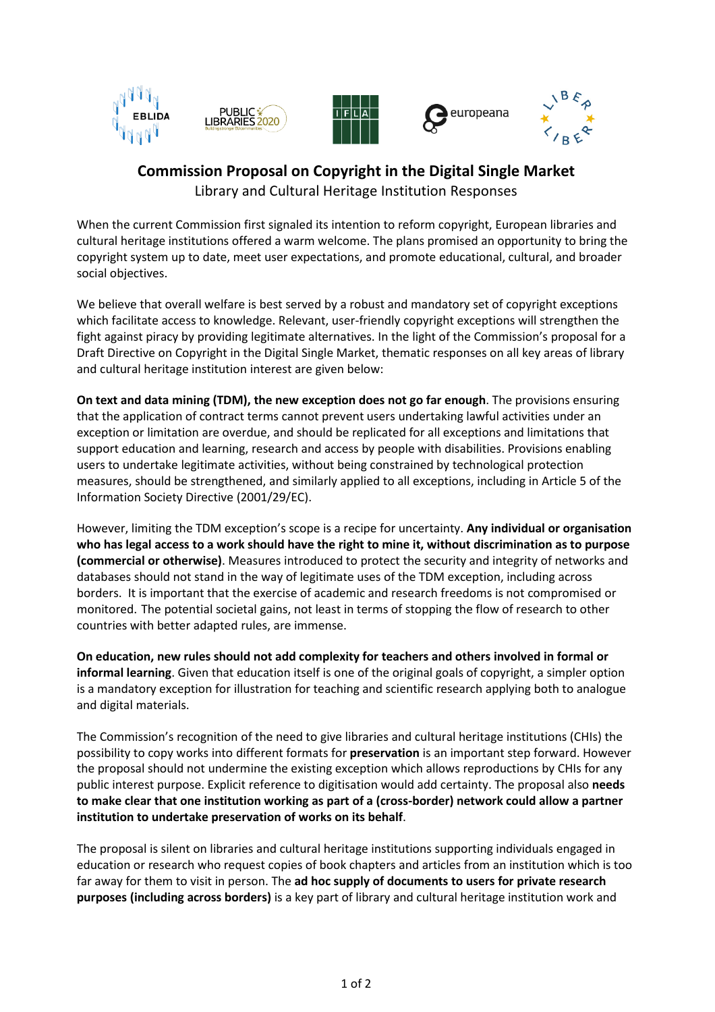

## **Commission Proposal on Copyright in the Digital Single Market**

Library and Cultural Heritage Institution Responses

When the current Commission first signaled its intention to reform copyright, European libraries and cultural heritage institutions offered a warm welcome. The plans promised an opportunity to bring the copyright system up to date, meet user expectations, and promote educational, cultural, and broader social objectives.

We believe that overall welfare is best served by a robust and mandatory set of copyright exceptions which facilitate access to knowledge. Relevant, user-friendly copyright exceptions will strengthen the fight against piracy by providing legitimate alternatives. In the light of the Commission's proposal for a Draft Directive on Copyright in the Digital Single Market, thematic responses on all key areas of library and cultural heritage institution interest are given below:

**On text and data mining (TDM), the new exception does not go far enough**. The provisions ensuring that the application of contract terms cannot prevent users undertaking lawful activities under an exception or limitation are overdue, and should be replicated for all exceptions and limitations that support education and learning, research and access by people with disabilities. Provisions enabling users to undertake legitimate activities, without being constrained by technological protection measures, should be strengthened, and similarly applied to all exceptions, including in Article 5 of the Information Society Directive (2001/29/EC).

However, limiting the TDM exception's scope is a recipe for uncertainty. **Any individual or organisation** who has legal access to a work should have the right to mine it, without discrimination as to purpose **(commercial or otherwise)**. Measures introduced to protect the security and integrity of networks and databases should not stand in the way of legitimate uses of the TDM exception, including across borders. It is important that the exercise of academic and research freedoms is not compromised or monitored. The potential societal gains, not least in terms of stopping the flow of research to other countries with better adapted rules, are immense.

**On education, new rules should not add complexity for teachers and others involved in formal or informal learning**. Given that education itself is one of the original goals of copyright, a simpler option is a mandatory exception for illustration for teaching and scientific research applying both to analogue and digital materials.

The Commission's recognition of the need to give libraries and cultural heritage institutions (CHIs) the possibility to copy works into different formats for **preservation** is an important step forward. However the proposal should not undermine the existing exception which allows reproductions by CHIs for any public interest purpose. Explicit reference to digitisation would add certainty. The proposal also **needs to make clear that one institution working as part of a (cross-border) network could allow a partner institution to undertake preservation of works on its behalf**.

The proposal is silent on libraries and cultural heritage institutions supporting individuals engaged in education or research who request copies of book chapters and articles from an institution which is too far away for them to visit in person. The **ad hoc supply of documents to users for private research purposes (including across borders)** is a key part of library and cultural heritage institution work and